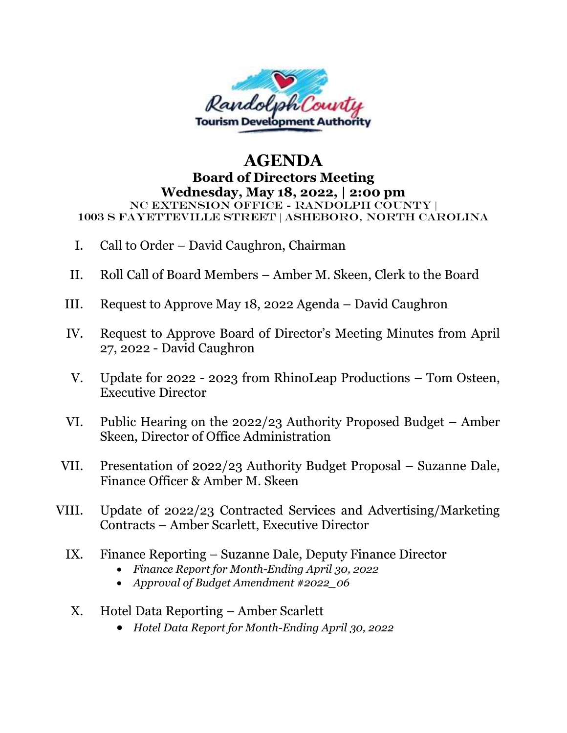

## **AGENDA Board of Directors Meeting Wednesday, May 18, 2022, | 2:00 pm** NC Extension Office - Randolph County | 1003 S Fayetteville Street | Asheboro, North Carolina

- I. Call to Order David Caughron, Chairman
- II. Roll Call of Board Members Amber M. Skeen, Clerk to the Board
- III. Request to Approve May 18, 2022 Agenda David Caughron
- IV. Request to Approve Board of Director's Meeting Minutes from April 27, 2022 - David Caughron
- V. Update for 2022 2023 from RhinoLeap Productions Tom Osteen, Executive Director
- VI. Public Hearing on the 2022/23 Authority Proposed Budget Amber Skeen, Director of Office Administration
- VII. Presentation of 2022/23 Authority Budget Proposal Suzanne Dale, Finance Officer & Amber M. Skeen
- VIII. Update of 2022/23 Contracted Services and Advertising/Marketing Contracts – Amber Scarlett, Executive Director
	- IX. Finance Reporting Suzanne Dale, Deputy Finance Director
		- *Finance Report for Month-Ending April 30, 2022*
		- *Approval of Budget Amendment #2022\_06*
	- X. Hotel Data Reporting Amber Scarlett
		- *Hotel Data Report for Month-Ending April 30, 2022*